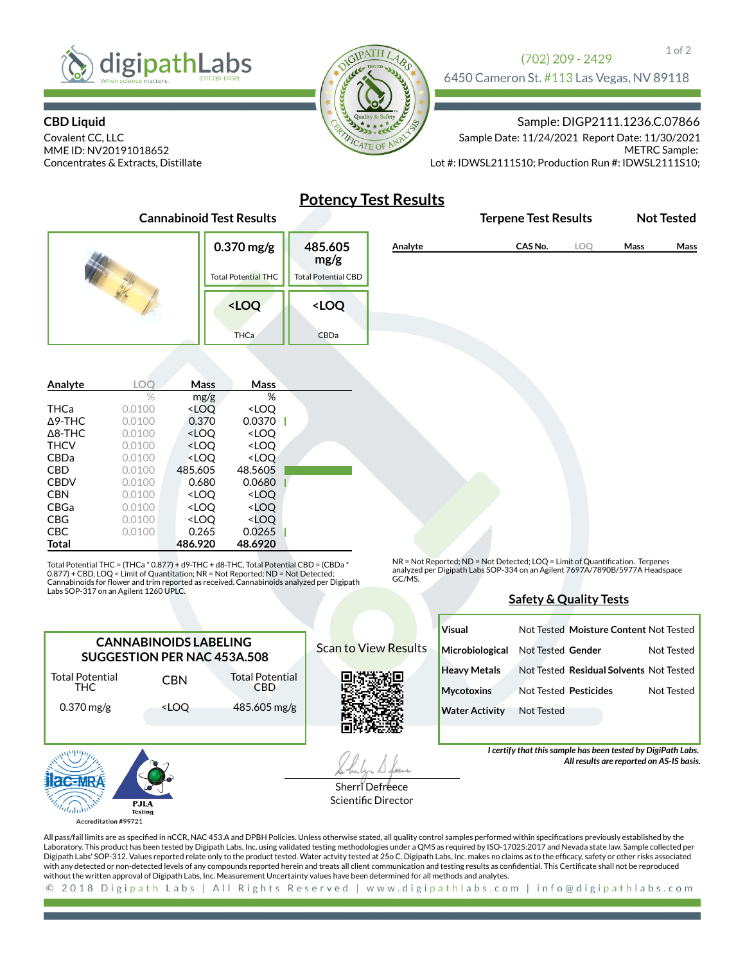

### **CBD Liquid**

Covalent CC, LLC MME ID: NV20191018652 Concentrates & Extracts, Distillate



## 1 of 2 (702) 209 - 2429

6450 Cameron St. #113 Las Vegas, NV 89118

### Sample: DIGP2111.1236.C.07866

METRC Sample: Lot #: IDWSL2111S10; Production Run #: IDWSL2111S10; Sample Date: 11/24/2021 Report Date: 11/30/2021

**Terpene Test Results Not Tested**

# **Potency Test Results**

| Cannaphiona TCJC RCJURJ |                                            |                                               |         | <b>TOLPOITO TOUR INCOMILA</b> |     |      |      |
|-------------------------|--------------------------------------------|-----------------------------------------------|---------|-------------------------------|-----|------|------|
|                         | $0.370$ mg/g<br><b>Total Potential THC</b> | 485.605<br>mg/g<br><b>Total Potential CBD</b> | Analyte | CAS No.                       | LOQ | Mass | Mass |
|                         | <loq<br><b>THCa</b></loq<br>               | <loq<br>CBDa</loq<br>                         |         |                               |     |      |      |
|                         |                                            |                                               |         |                               |     |      |      |

| Analyte         | LOO    | Mass                                                     | Mass                         |  |
|-----------------|--------|----------------------------------------------------------|------------------------------|--|
|                 | $\%$   | mg/g                                                     | %                            |  |
| THCa            | 0.0100 | <loq< th=""><th><loq< th=""><th></th></loq<></th></loq<> | <loq< th=""><th></th></loq<> |  |
| $\Lambda$ 9-THC | 0.0100 | 0.370                                                    | 0.0370                       |  |
| $\Delta$ 8-THC  | 0.0100 | <loq< th=""><th><loq< th=""><th></th></loq<></th></loq<> | <loq< th=""><th></th></loq<> |  |
| <b>THCV</b>     | 0.0100 | <loo< th=""><th><loo< th=""><th></th></loo<></th></loo<> | <loo< th=""><th></th></loo<> |  |
| <b>CBDa</b>     | 0.0100 | <loq< th=""><th><loq< th=""><th></th></loq<></th></loq<> | <loq< th=""><th></th></loq<> |  |
| <b>CBD</b>      | 0.0100 | 485.605                                                  | 48.5605                      |  |
| <b>CBDV</b>     | 0.0100 | 0.680                                                    | 0.0680                       |  |
| <b>CBN</b>      | 0.0100 | <loq< th=""><th><loq< th=""><th></th></loq<></th></loq<> | <loq< th=""><th></th></loq<> |  |
| <b>CBGa</b>     | 0.0100 | <loo< th=""><th><loq< th=""><th></th></loq<></th></loo<> | <loq< th=""><th></th></loq<> |  |
| CBG             | 0.0100 | <loo< th=""><th><loo< th=""><th></th></loo<></th></loo<> | <loo< th=""><th></th></loo<> |  |
| <b>CBC</b>      | 0.0100 | 0.265                                                    | 0.0265                       |  |
| Total           |        | 486.920                                                  | 48.6920                      |  |

**Cannabinoid Test Results**

Total Potential THC = (THCa \* 0.877) + d9-THC + d8-THC, Total Potential CBD = (CBDa \* 0.877) + CBD, LOQ = Limit of Quantitation; NR = Not Reported; ND = Not Detected;<br>Cannabinoids for flower and trim reported as received. Cannabinoids analyzed per Digipath Labs SOP-317 on an Agilent 1260 UPLC.

NR = Not Reported; ND = Not Detected; LOQ = Limit of Quantification. Terpenes analyzed per Digipath Labs SOP-334 on an Agilent 7697A/7890B/5977A Headspace GC/MS.

### **Safety & Quality Tests**

| <b>CANNABINOIDS LABELING</b><br>SUGGESTION PER NAC 453A 508 |                                          |                                      |  |  |  |  |  |
|-------------------------------------------------------------|------------------------------------------|--------------------------------------|--|--|--|--|--|
| <b>Total Potential</b><br>THC.                              | CBN                                      | <b>Total Potential</b><br><b>CBD</b> |  |  |  |  |  |
| $0.370$ mg/g                                                | <loo< th=""><th>485.605 mg/g</th></loo<> | 485.605 mg/g                         |  |  |  |  |  |
|                                                             |                                          |                                      |  |  |  |  |  |
|                                                             |                                          |                                      |  |  |  |  |  |

Scan to View Results



| <b>Visual</b>         |                              | Not Tested Moisture Content Not Tested  |                   |
|-----------------------|------------------------------|-----------------------------------------|-------------------|
| Microbiological       | Not Tested Gender            |                                         | Not Tested        |
| <b>Heavy Metals</b>   |                              | Not Tested Residual Solvents Not Tested |                   |
| <b>Mycotoxins</b>     | <b>Not Tested Pesticides</b> |                                         | <b>Not Tested</b> |
| <b>Water Activity</b> | Not Tested                   |                                         |                   |

*I certify that this sample has been tested by DigiPath Labs. All results are reported on AS-IS basis.*

Testin Accreditation #99721

**PJLA** 

Sherri Defreece Scientific Director

All pass/fail limits are as specified in nCCR, NAC 453.A and DPBH Policies. Unless otherwise stated, all quality control samples performed within specifications previously established by the Laboratory. This product has been tested by Digipath Labs, Inc. using validated testing methodologies under a QMS as required by ISO-17025:2017 and Nevada state law. Sample collected per Digipath Labs' SOP-312. Values reported relate only to the product tested. Water actvity tested at 25o C. Digipath Labs, Inc. makes no claims as to the efcacy, safety or other risks associated with any detected or non-detected levels of any compounds reported herein and treats all client communication and testing results as condential. This Certicate shall not be reproduced without the written approval of Digipath Labs, Inc. Measurement Uncertainty values have been determined for all methods and analytes.

2018 Digipath Labs | All Rights Reserved | www.digipathlabs.com | info@digipathlabs.com  $\odot$